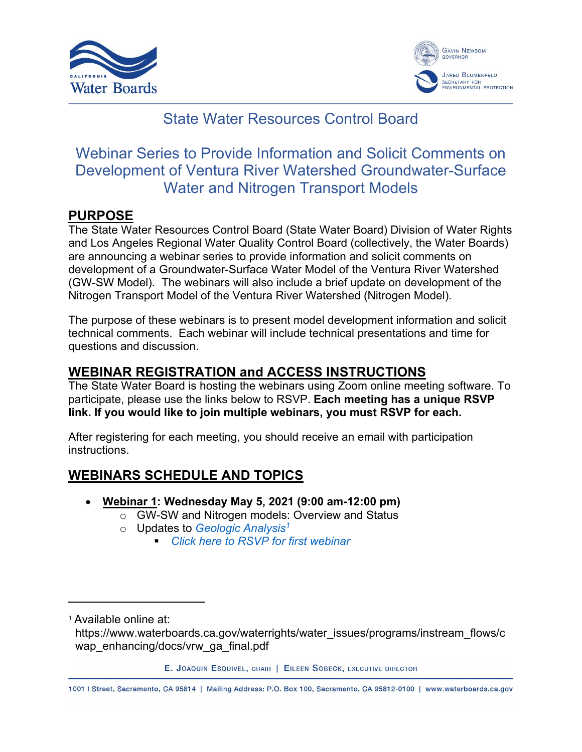



# State Water Resources Control Board

# Webinar Series to Provide Information and Solicit Comments on Development of Ventura River Watershed Groundwater-Surface Water and Nitrogen Transport Models

#### **PURPOSE**

The State Water Resources Control Board (State Water Board) Division of Water Rights and Los Angeles Regional Water Quality Control Board (collectively, the Water Boards) are announcing a webinar series to provide information and solicit comments on development of a Groundwater-Surface Water Model of the Ventura River Watershed (GW-SW Model). The webinars will also include a brief update on development of the Nitrogen Transport Model of the Ventura River Watershed (Nitrogen Model).

The purpose of these webinars is to present model development information and solicit technical comments. Each webinar will include technical presentations and time for questions and discussion.

### **WEBINAR REGISTRATION and ACCESS INSTRUCTIONS**

The State Water Board is hosting the webinars using Zoom online meeting software. To participate, please use the links below to RSVP. **Each meeting has a unique RSVP link. If you would like to join multiple webinars, you must RSVP for each.**

After registering for each meeting, you should receive an email with participation instructions.

#### **WEBINARS SCHEDULE AND TOPICS**

- · **Webinar 1: Wednesday May 5, 2021 (9:00 am-12:00 pm)**
	- o GW-SW and Nitrogen models: Overview and Status
		- o Updates to *[Geologic Analysis](https://www.waterboards.ca.gov/waterrights/water_issues/programs/instream_flows/cwap_enhancing/docs/vrw_ga_final.pdf)[1](#page-0-0)*
			- § *[Click here to RSVP for first webinar](https://waterboards.zoom.us/meeting/register/tJ0pcu2pqzItGd2U706KsmCUakMupHj6Ij9m)*

<span id="page-0-0"></span><sup>1</sup> Available online at:

E. JOAQUIN ESQUIVEL, CHAIR | EILEEN SOBECK, EXECUTIVE DIRECTOR

1001 | Street, Sacramento, CA 95814 | Mailing Address: P.O. Box 100, Sacramento, CA 95812-0100 | www.waterboards.ca.gov

https://www.waterboards.ca.gov/waterrights/water\_issues/programs/instream\_flows/c wap\_enhancing/docs/vrw\_ga\_final.pdf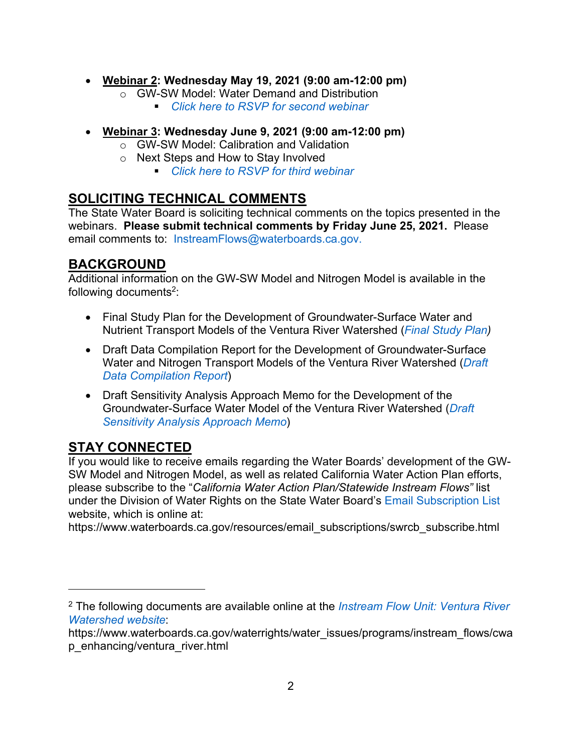- · **Webinar 2: Wednesday May 19, 2021 (9:00 am-12:00 pm)**
	- o GW-SW Model: Water Demand and Distribution
		- *[Click here to RSVP for second webinar](https://waterboards.zoom.us/meeting/register/tJAvd--rqzstHNQ7XZu9CVNevMB_5sxZxZ1z)*
- · **Webinar 3: Wednesday June 9, 2021 (9:00 am-12:00 pm)**
	- o GW-SW Model: Calibration and Validation
	- o Next Steps and How to Stay Involved
		- § *[Click here to RSVP for third webinar](https://waterboards.zoom.us/meeting/register/tJEvce-vpzwtGd3zisErjSjG-qm2E7s89A6j)*

### **SOLICITING TECHNICAL COMMENTS**

The State Water Board is soliciting technical comments on the topics presented in the webinars. **Please submit technical comments by Friday June 25, 2021.** Please email comments to: [InstreamFlows@waterboards.ca.gov](mailto:InstreamFlows@waterboards.ca.gov).

#### **BACKGROUND**

Additional information on the GW-SW Model and Nitrogen Model is available in the following documents<sup>[2](#page-1-0)</sup>:

- · Final Study Plan for the Development of Groundwater-Surface Water and Nutrient Transport Models of the Ventura River Watershed (*[Final Study Plan\)](https://www.waterboards.ca.gov/waterrights/water_issues/programs/instream_flows/cwap_enhancing/docs/vrw_sp_final.pdf)*
- · Draft Data Compilation Report for the Development of Groundwater-Surface Water and Nitrogen Transport Models of the Ventura River Watershed (*[Draft](https://www.waterboards.ca.gov/waterrights/water_issues/programs/instream_flows/cwap_enhancing/docs/vrw_dr_draft.zip)  [Data Compilation Report](https://www.waterboards.ca.gov/waterrights/water_issues/programs/instream_flows/cwap_enhancing/docs/vrw_dr_draft.zip)*)
- · Draft Sensitivity Analysis Approach Memo for the Development of the Groundwater-Surface Water Model of the Ventura River Watershed (*[Draft](https://www.waterboards.ca.gov/waterrights/water_issues/programs/instream_flows/cwap_enhancing/docs/ventura_river/vrw_saa_draft.pdf)  [Sensitivity Analysis Approach Memo](https://www.waterboards.ca.gov/waterrights/water_issues/programs/instream_flows/cwap_enhancing/docs/ventura_river/vrw_saa_draft.pdf)*)

## **STAY CONNECTED**

If you would like to receive emails regarding the Water Boards' development of the GW-SW Model and Nitrogen Model, as well as related California Water Action Plan efforts, please subscribe to the "*California Water Action Plan/Statewide Instream Flows"* list under the Division of Water Rights on the State Water Board's [Email Subscription List](https://www.waterboards.ca.gov/resources/email_subscriptions/swrcb_subscribe.html) website, which is online at:

https://www.waterboards.ca.gov/resources/email\_subscriptions/swrcb\_subscribe.html

<span id="page-1-0"></span><sup>2</sup> The following documents are available online at the *[Instream Flow Unit: Ventura River](https://www.waterboards.ca.gov/waterrights/water_issues/programs/instream_flows/cwap_enhancing/ventura_river.html)  [Watershed website](https://www.waterboards.ca.gov/waterrights/water_issues/programs/instream_flows/cwap_enhancing/ventura_river.html)*:

https://www.waterboards.ca.gov/waterrights/water\_issues/programs/instream\_flows/cwa p\_enhancing/ventura\_river.html